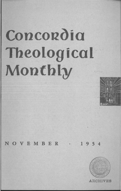# Concordia Theological Monthly



#### EMBER  $1954$

 $11.29.11.77.77.22$ 

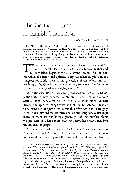# The German Hymn **In** English Translation

### By WALTER G. TILLMANNS

ED. NOTE: The writer of rhis article is professor in rhe Department of Modern Languages at Wartburg College, Waverly, Iowa. In rhis study he had rhe assistance of rhe following members of a class in Early New High German Literature: Frank Benz, Henry Borgardt, Emmett Busch, Paul Hanselmann, Marvin Hartmann, Fred Hueners, John Kuper, Reuben Schaidt, Kenneth Truckenbrod, and Wilbert Winkler.

THE German hymn is one of the most precious treasures of the Lutheran Church. Ever since 1523, when Martin Luther and his co-workers began to write "German Psalms" for the congregation, the hymn and spiritual song has taken its place in the congregational life; next to the preaching of the Word and the teaching of the Catechism, there is nothing so dear to the Lutheran as the rich heritage of the "singing church."

With the exception of German hymns written before the Reformation and a few hundred by Reformed and Roman Catholic authors since then, almost all of the 100,000 or more German hymns and spiritual songs were written by Lutherans. Most of these hymns are forgotten today, but about five per cent, or roughly 5,000, have survived the centuries and are still sung today, although many of them are not known generally. Of this number about ten per cent, or a little more than 500, have been translated into the English language.

A study was made of eleven Lutheran and six non-Lutheran American hymnals \* in order to ascertain the number of German to the total number of hymns, the most widely used German hymns,

<sup>..</sup> *The Lutheran Hymnal* (Syn. Cont); *The Ev. Luth. Hymn-Book"* (Mo. Synod); *The American Lutheran Hymnal* (A. L. C.); *The Wartburg Hymnal* \* (Iowa Synod); *The Ev. Luth. Hymnal"* (Ohio Synod); *The Common Service Book* (U.L.C.A.); *The Book of Worship* \* (Gen. Council); *The Lutheran* Hymnary (E. L. C.); The Hymnal for Church and Home (Danish Synods); *The Concordia Hymnal* (Free Church); *The Hymnal* (Aug.); and the following non-Lutheran hymnals: Protestant Episcopal; Presbyterians in the U. S. A.; Methodist; Baptist *(The Service Hymnal);* Evangelical-Reformed; and Evangelical-United Brethren. - Hymnals with asterisks are no longer in common use.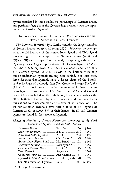hymns translated in these books, the percentage of German hymns and pertinent facts about the German hymn writers who are represented in American hymnals.

# I. NUMBER OF GERMAN HYMNS AND PERCENTAGE OF THE TOTAL NUMBER IN EACH HYMNAL

*The Lutheran Hymnal* (Syn. Conf.) contains the largest number of German hymns and spiritual songs (250). However, percentagewise, the old hymnals of the former Iowa Synod and Ohio Synod show a slightly larger emphasis on German hymns  $(43\%$  and 39% to 38% in the Syn. Conf. hymnal). Surprisingly the *E.L.C. Hymnary* has a larger representation of German hymns (33%) than the *A.* L. C. *Hymnal. The Common Service Book,* with only 113 German hymns (20%), is close to the bottom, with only three Scandinavian hymnals trailing close behind. But since these three Scandinavian hymnals have a larger share of the Scandinavian heritage of hymnody than *The Common Service Book,* the U. L. C. A. hymnal presents the least number of Lutheran hymns in its hymnal. *The Book of War ship* of the old General Council has not been included in this tabulation, because it antedates the other Lutheran hymnals by many decades, and German hymn translations were not common at the time of its publication. The six non-Lutheran hymnals have only a total of 181 hymns of German origin or about 5 % of their hymns. In all 480 German hymns are found in the seventeen hymnals.

TABLE I: *Number of German Hymns and Percentage of the Total Number of Hymns Found in Each Hymnal* 

|                                                           |  | 38%    |
|-----------------------------------------------------------|--|--------|
|                                                           |  | 33%    |
| American Luth. Hymnal _______ A.L.C. _________ 204        |  | 31%    |
| Evang. Luth. Hymnal __________ Ohio Synod * _ 199         |  | 39%    |
| Evang. Luth. Hymn-Book _____ Mo. Synod * ___ 191          |  | 34%    |
| <i>Wartburg Hymnal</i> _____________ Iowa Synod $*$ _ 163 |  | 43%    |
| Common Service Book ________ U.L.C.A. _____ 113           |  | 20%    |
|                                                           |  | 16%    |
| Concordia Hymnal ______________ Free Church ___ 83        |  | 19%    |
| Hymnal f. Church and Home Danish Synods 78                |  | $17\%$ |
| Six Non-Lutheran Hymnals, Total  181 ca. 5%               |  |        |

\* No longer in common use.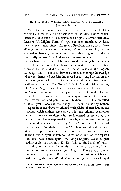## **II.** THE MOST WIDELY TRANSLATED AND PUBLISHED GERMAN HYMNS

Many German hymns have been translated several times. Thus we find a great variety of translations of the same hymns, which often makes it difficult to ascertain the original German first line. Luther's "A Mighty Fortress," e.g., has been translated at least twenty-seven times, often quite freely. Problems arising from these divergences in translation are many. Often the meaning of the original is changed, the intention of the author is ignored, and it is practically impossible to find an authoritative version of the better known hymns which could be memorized and sung by Lutherans without the help of a hymnbook. As a matter of fact, very few German hymns lend themselves for memorization in the English language. This is a serious drawback, since a thorough knowledge of the best hymns of our faith has served as a strong bulwark in the centuries gone by in times of stress and need. Apart from a few wcll-knovm hymns, like "Beautiful Savior," and spiritual songs, like "Silent Night," very few hymns are part of the Lutheran life in America. None of Luther's hymns, none of Gerhardt's hymns, none of the hymns of the other great hymn writers of Germany, has become part and parcel of our Lutheran life. The so-called Cradle Hymn, "Away in the Manger," is definitely not by Luther.

Apart from the above-mentioned multiplicity of translations, the freedom which authors have taken with the original is another matter of concern to those who are interested in preserving the purity of doctrine as expressed in those hymns. A very interesting study could be made of the many "heroic," even outright boastful translations of "A Mighty Fortress." \* There are other drawbacks. Whereas inspired poets have sinned against the original emphasis of the German hymn writer, well-intentioned but poorly prepared translators have sinned against the King's English. An intelligent reading of German hymns in English (without the benefit of notes) will bring to the reader the painful realization that many of these translations are not written in good English. There are, of course, a number of exceptions. But most of the translations which were made during the First World War or during the years of rapid

<sup>..</sup> See the article by the author in the *Lutheran Quarterly,* Feb. 1954. "Nor any thanks have for it."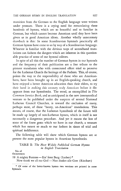transition from the German to the English language were written under pressure. There is a crying need for retranslating these hundreds of hymns, which are so beautiful and so familiar in German, but which cannot become American until they have been given us in good American idiom. Another wholly unnecessary drawback is this: In some Scandinavian hymnals practically all German hymns have come to us by way of a Scandinavian language. Whoever is familiar with the devious ways of secondhand translations can fathom the dangers which are inherent in this questionable practice of some of our hymnal editors.

In spite of all this the number of German hymns in our hymnals and the frequency of their publication are a fine tribute to the pioneer translators who with consecrated effort tried to preserve for the Lutheran Church the heritage of the Fathers. This, of course, points the way to the responsibility of those who are Americanborn, have been brought up in an English-speaking church, and have enjoyed a better American education than their elders, to try their hand in making this treasury truly American before it disappears from our hymnbooks. The trend, as exemplified in *The Common Service Book,* and as anticipated in the new intersynodical venture to be published under the auspices of several National Lutheran Council Churches, is toward the exclusion of many, perhaps most, of these "heavy, un-American" translations. This means, of course, that the Lutheran hymnbook of the future will be made up largely of non-Lutheran hymns, which in itself is not necessarily a dangerous procedure. And yet it means the loss of some of the finest gems which we have in our church, a treasure which has meant so much to our fathers in times of trial and spiritual indifference.

The following table will show which German hymns are at present the most popular hymns in American hymnbooks.

TABLE II: *The Most Widely Published German Hymns in English Translation* 

No. of **Occurrences** 

18 A mighty Fortress - Ein' feste Burg (Luther)\*

Now thank we all our God-Nun danket aIle Gott (Rinckart)

<sup>\*</sup> Of some of the better-known hymns two versions are printed in some hymnals.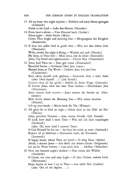- 15 All my heart this night rejoices Fröhlich soll mein Herze springen (Gerhardt) Praise to the Lord - Lobe den Herren (Neander)
- 14 From heav'n above Vom Himmel hoch (Luther) Silent night-Stille Nacht (Mohr) Come, Thou bright and morning Star - Morgenglanz der Ewigkeit (Rosenroth )
- 13 If thou but suffer God to guide thee Wer nur den lieben Gott (Neumark) Wake, awake, for night is flying  $-W$ achet auf, ruft (Nicolai)

My Jesus, as Thou wilt-Mein Jesus, wie du willst (Schmolck) Jesus, Thy blood and righteousness - Christi Blut (Zinzendorf)

- 12 Jesus, lead Thou on Jesu, geh voran (Zinzendorf) Beautiful Savior - Schönster Herr Jesu (anon.) Blessed Jesus, at Thy Word-Liebster Jesu, wir sind hier (Clausnitzer)
	- Soul, adorn thyself with gladness Schmücke dich, o liebe Seele (also: Deck thyself . .. ) (Joh. Franck)
	- Commit thou all thy griefs Befiehl du deine Wege (Gerhardt)
	- O dearest Jesus, what law hast Thou broken Herzliebster Jesu (Heermann)
	- Jesus sinners doth receive Jesus nimmt die Sünder an *(Neu*meister)
	- How lovely shines the Morning Star Wie schön leuchtet (Nicolai)

Lift up your heads - Macht hoch die Tür (Weissel)

- 11 All glory be to God on high Allein Gott in der Höh' sei Ehr' (Decius)
	- Jesus, priceless Treasure Jesu, meine Freude (Joh. Franck)
	- O Lord, how shall I meet Thee Wie soll ich dich empfangen (Gerhardt)

(also: Oh, how shall I receive Thee)

- If God Himself be for me Ist Gott für mich, so trete (Gerhardt)
- Rejoice all ye believers Ermuntert euch, ihr Frommen (Laurentii)

O happy home, where Thou art loved  $-$  O selig Haus (Spitta) Abide, o dearest Jesus — Ach bleib' mit deiner Gnade (Stegmann) Let me be Thine forever - Lass mich dein . . . bleiben (Selnecker)

- 10 Now rest beneath night's shadow-Nun ruhen alle Wälder (Gerhardt)
	- O Christ, our true and only Light O Jesu Christe, wahres Licht (Heermann)
	- From depths of woe I cry to Thee  $-$  Aus tiefer Not (Luther) (also: Out of the depths  $\ldots$ )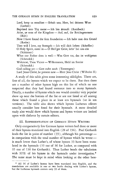#### THE GERMAN HYMN IN ENGLISH TRANSLATION

- Lord, keep us steadfast Erhalt uns, Herr, bei deinem Wort (Luther)
- Baptized into Thy name Ich bin getauft (Rambach)
- Arise, ye sons of the Kingdom Auf, auf, ihr Reichsgenossen (Rist)
- Now I have found the firm foundation Ich habe nun den Grund (Rothe)
- Thee will I love, my Strength  $-$  Ich will dich lieben (Scheffler)
- O Holy Spirit, enter in O Heil'ger Geist, kehr' bei uns ein (Schirmer)
- What our Father does is well- Was Gott tut, das ist wohlgetan (Schmolck)
- Welcome, Thou Victor Wilkommen, Held im Streite (Schmolck) God calling yet - Gott rufet noch (Tersteegen)

Lord Jesus Christ, be present now - Herr Jesu Christ (Wilhelm II)

A study of this table gives some interesting sidelights. There are, first of all, the hymns which we expect to be there. But then there are a number of other hymns high on this list of which no one suspected that they had found entrance into so many hymnals. Finally, a number of hymns which one would consider very popular show up near the bottom of the list or are not listed at all among those which found a place in at least ten hymnals (or in ten versions). The table also shows which hymns Lutheran editors usually consider best fitted for their hymnals. A more detailed study also would show which hymns and hymn writers are looked upon with disfavor by certain editors.

#### III. REPRESENTATION OF GERMAN HYMN WRITERS

Only comparatively few German hymn writers had three or more of their hymns translated into English (28 of 194). Paul Gerhardt leads the list in point of number  $(35)$ , although his percentage in comparison with the total number of hymns which he wrote is much lower than Luther's, of whose hymns 33 have been translated in the hymnals (33 out of 36 for Luther, as compared with 35 out of 130 for Gerhardt). Thus Luther heads the tabulation with 92% of his hymns in the hymnals under investigation.\* The same must be kept in mind when looking at the other best-

<sup>\*</sup> All 36 of Luther's hymns have been translated into English, and the translations are available in one or two books dealing with Luther's hymns, but the Lutheran hymnals contain only 33 of them.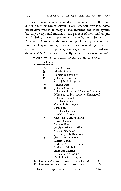represented hymn writers: Zinzendorf wrote more than 900 hymns, but only 8 of his hymns survive in our American hymnals. Some others have written as many as two thousand and more hymns, but only a very small fraction of one per cent of their total output is still being found in present-day hymnals, both German and American. A study of this relationship of total production and survival of hymns will give a true indication of the greatness of a hymn writer. For the present, however, we must be satisfied with the tabulation of the most frequently published German hymnists.

|                 | TABLE III: Representation of German Hymn Writers |  |  |
|-----------------|--------------------------------------------------|--|--|
| Number of hymns |                                                  |  |  |
|                 |                                                  |  |  |

in American hymnals

| 35                                                | Paul Gerhardt                              |                      |
|---------------------------------------------------|--------------------------------------------|----------------------|
| 33                                                | Martin Luther                              |                      |
| 15                                                | Benjamin Schmolck                          |                      |
| 12                                                | Johann Heermann                            |                      |
|                                                   | Carl Joh. Philipp Spitta                   |                      |
| 9                                                 | Johann Rist                                |                      |
| 8                                                 | Johann Olearius                            |                      |
|                                                   | Johannes Scheffler (Angelus Silesius)      |                      |
|                                                   | Nikolaus Ludw. Count v. Zinzendorf         |                      |
| 7                                                 | Johannes Franck                            |                      |
|                                                   | Nicolaus Selnecker                         |                      |
|                                                   | Gerhard Tersteegen                         |                      |
| 5                                                 | Paul Eber                                  |                      |
|                                                   | Nicolaus Herman                            |                      |
|                                                   | Joachim Neander                            |                      |
| 4                                                 | Christian Gottlieb Barth                   |                      |
|                                                   | David Denike                               |                      |
|                                                   | Salomo Franck                              |                      |
|                                                   | Philipp Friedrich Hiller                   |                      |
|                                                   | Caspar Neumann                             |                      |
|                                                   | Johann Jacob Rambach                       |                      |
| 3                                                 | Ernst Moritz Arndt                         |                      |
|                                                   | Martin Behm                                |                      |
|                                                   | Ludwig Andreas Gotter                      |                      |
|                                                   | Ludwig Helmbold                            |                      |
|                                                   | Balthasar Münter                           |                      |
|                                                   | Erdmann Neumeister                         |                      |
|                                                   | Bartholomäus Ringwald                      |                      |
|                                                   | Total represented with three or more hymns | 28.                  |
|                                                   | Total represented with one or two hymns    | 166                  |
| $\mathbf{r}$ . The set of the set of $\mathbf{r}$ |                                            | $\sim$ $\sim$ $\sim$ |

|  |  | Total of all hymn writers represented | 194 |
|--|--|---------------------------------------|-----|
|  |  |                                       |     |

830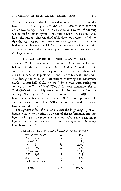A comparison with table II shows that some of the most popular hymns were written by writers who are represented with only one or two hymns, e.g., Rinckart's *"Nun danket aUe Gott."* Of one very widely used German hymn ("Beautiful Savior") we do not even know the author. Thus the third table does not necessarily indicate that the other writers are inferior to those contained in the table. It does show, however, which hymn writers are the favorites with Lutheran editors and/or whose hymns have come down to us in the largest number.

#### IV. DATE OF BIRTH OF THE HYMN WRITERS

Only  $6\%$  of the writers whose hymns are found in our hymnals belonged to the generation of Martin Luther. A total of 18% were born during the century of the Reformation, about 9% during Luther's adult years until shortly after his death and about 9% during the turbulent half-century following the Reformer's death. Almost half of the writers  $(43\%)$  were born during the century of the Thirty Years' War, 24% were contemporaries of Paul Gerhardt, and 19% were born in the second half of the century. The eighteenth century is represented by 20% of all hymn writers, but those born after  $1800$  make up only  $5\%$ . Very few writers born after 1850 are represented in the Lutheran hymnals of America.

The significant fact of this table is that the large majority of our hymns were written within 150 years of the Reformation and that hymn writing at the present is at a low ebb. (There are many hymns being written in Germany. But are they acceptable to our hymnbook editors?)

| TABLE IV: Date of Birth of German Hymn Writers |     |           |
|------------------------------------------------|-----|-----------|
| Born Before 1500                               | 12  | (6%)      |
| 1500-1549                                      | 17  | $9\%)$    |
| 1550-1599                                      | 18  | 9%)       |
| 1600—1649                                      | 46  | (24%)     |
| 1650-1699                                      | 37  | $(19\%)$  |
| 1700-1749                                      | 19  | $(10\%)$  |
| 1750-1799                                      | 19  | $10\%$ )  |
| 1800-1849                                      | 10  | $5\%$ )   |
| Birthdate unknown                              | 16  | 8%)       |
|                                                |     |           |
| Total                                          | 194 | $(100\%)$ |
|                                                |     |           |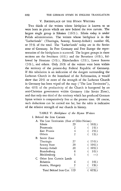#### v. BIRTHPLACE OF THE HYMN WRITERS

Two thirds of the writers whose birthplace is known to us were born in places which are now behind the iron curtain. The largest single group is Silesian  $(16\%)$ . Silesia today is under Polish administration. The writers whose birthplace is in the "Lutherlands" (Thuringia, Saxony, Saxony-Anhalt) number 66, or 35 % of the total. The "Lutherlands" today are in the Soviet zone of Germany. In Free Germany and Free Europe the representation of the birthplaces is scattered. The largest groups in these sections are the Swabians (6%) and the Bavarians (6%), followed by Hessians  $(5\%)$ , Rhinelanders  $(2\%)$ , Lower Saxons (3%), and others. Only 26% of the writers were born within the territory of the present-day Federal Republic of Germany. If this tabulation is an indication of the dangers surrounding the Lutheran Church in the homeland of the Reformation, it would show that 20% or more of the strength of the Lutheran Church in Germany has been wiped off the map ("The Lost Territories"), that  $40\%$  of the productivity of the Church is hampered by an anti-Christian government within Germany (the Soviet Zone), and that only one third of the territory which has produced German hymn writers is comparatively free at the present time. Of course, such deductions can be carried too far, but the table is indicative of the relative strength of our church in history.

#### TABLE V: *Birthplace of the Hymn Writers*

1. Behind the Iron Curtain

|    | A. The Lost Territories (East of Oder-Neisse) |    |          |
|----|-----------------------------------------------|----|----------|
|    | Silesia                                       | 29 | $16\%$   |
|    | Pomerania                                     | 2  | $1\%$ )  |
|    | East Prussia                                  | 4  | $2\%$ )  |
|    | Orhers                                        | 2  | $1\%$ )  |
| В. | Soviet Zone                                   |    |          |
|    | Thuringia                                     | 27 | $15\%$ ) |
|    | Saxony State                                  | 20 | $10\%$ ) |
|    | Saxony-Anhalt                                 | 20 | $10\%$ ) |
|    | Brandenburg                                   | 6  | 3%)      |
|    | Mecklenburg                                   | 1  |          |
|    | C. Other Iron Curtain Lands                   |    |          |
|    | Bohemia                                       | 6  | $3\%$    |
|    | Austria, Hungary                              | 2  | $1\%$ )  |
|    | Total Behind Iron Cur. 119                    |    | $62\%$   |